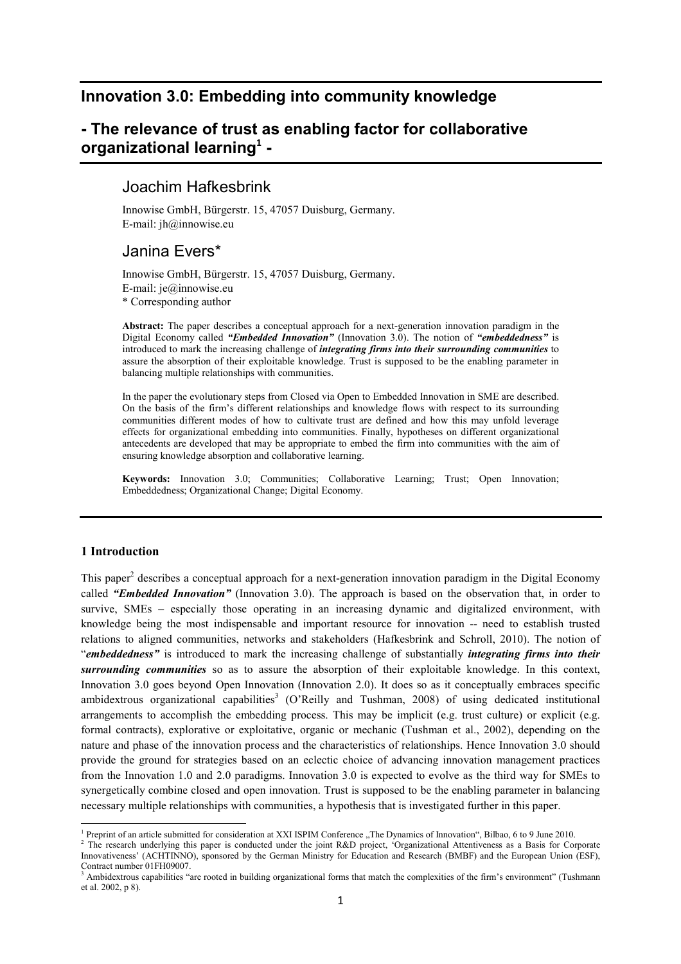# **Innovation 3.0: Embedding into community knowledge**

# **- The relevance of trust as enabling factor for collaborative organizational learning<sup>1</sup> -**

## Joachim Hafkesbrink

Innowise GmbH, Bürgerstr. 15, 47057 Duisburg, Germany. E-mail: jh@innowise.eu

# Janina Evers\*

Innowise GmbH, Bürgerstr. 15, 47057 Duisburg, Germany. E-mail: je@innowise.eu \* Corresponding author

**Abstract:** The paper describes a conceptual approach for a next-generation innovation paradigm in the Digital Economy called *"Embedded Innovation"* (Innovation 3.0). The notion of *"embeddedness"* is introduced to mark the increasing challenge of *integrating firms into their surrounding communities* to assure the absorption of their exploitable knowledge. Trust is supposed to be the enabling parameter in balancing multiple relationships with communities.

In the paper the evolutionary steps from Closed via Open to Embedded Innovation in SME are described. On the basis of the firm's different relationships and knowledge flows with respect to its surrounding communities different modes of how to cultivate trust are defined and how this may unfold leverage effects for organizational embedding into communities. Finally, hypotheses on different organizational antecedents are developed that may be appropriate to embed the firm into communities with the aim of ensuring knowledge absorption and collaborative learning.

**Keywords:** Innovation 3.0; Communities; Collaborative Learning; Trust; Open Innovation; Embeddedness; Organizational Change; Digital Economy.

## **1 Introduction**

This paper<sup>2</sup> describes a conceptual approach for a next-generation innovation paradigm in the Digital Economy called *"Embedded Innovation"* (Innovation 3.0). The approach is based on the observation that, in order to survive, SMEs – especially those operating in an increasing dynamic and digitalized environment, with knowledge being the most indispensable and important resource for innovation -- need to establish trusted relations to aligned communities, networks and stakeholders (Hafkesbrink and Schroll, 2010). The notion of "*embeddedness"* is introduced to mark the increasing challenge of substantially *integrating firms into their surrounding communities* so as to assure the absorption of their exploitable knowledge. In this context, Innovation 3.0 goes beyond Open Innovation (Innovation 2.0). It does so as it conceptually embraces specific ambidextrous organizational capabilities<sup>3</sup> (O'Reilly and Tushman, 2008) of using dedicated institutional arrangements to accomplish the embedding process. This may be implicit (e.g. trust culture) or explicit (e.g. formal contracts), explorative or exploitative, organic or mechanic (Tushman et al., 2002), depending on the nature and phase of the innovation process and the characteristics of relationships. Hence Innovation 3.0 should provide the ground for strategies based on an eclectic choice of advancing innovation management practices from the Innovation 1.0 and 2.0 paradigms. Innovation 3.0 is expected to evolve as the third way for SMEs to synergetically combine closed and open innovation. Trust is supposed to be the enabling parameter in balancing necessary multiple relationships with communities, a hypothesis that is investigated further in this paper.

<sup>&</sup>lt;sup>1</sup> Preprint of an article submitted for consideration at XXI ISPIM Conference "The Dynamics of Innovation", Bilbao, 6 to 9 June 2010.

<sup>&</sup>lt;sup>2</sup> The research underlying this paper is conducted under the joint R&D project, 'Organizational Attentiveness as a Basis for Corporate Innovativeness' (ACHTINNO), sponsored by the German Ministry for Education and Research (BMBF) and the European Union (ESF), Contract number 01FH09007.

<sup>&</sup>lt;sup>3</sup> Ambidextrous capabilities "are rooted in building organizational forms that match the complexities of the firm's environment" (Tushmann et al. 2002, p 8).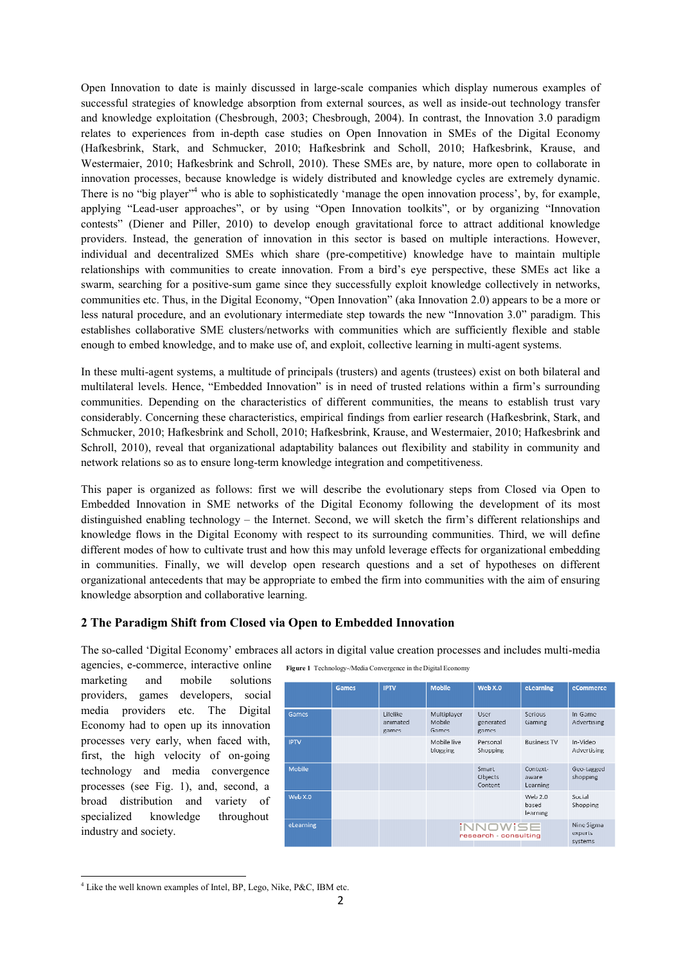Open Innovation to date is mainly discussed in large-scale companies which display numerous examples of successful strategies of knowledge absorption from external sources, as well as inside-out technology transfer and knowledge exploitation (Chesbrough, 2003; Chesbrough, 2004). In contrast, the Innovation 3.0 paradigm relates to experiences from in-depth case studies on Open Innovation in SMEs of the Digital Economy (Hafkesbrink, Stark, and Schmucker, 2010; Hafkesbrink and Scholl, 2010; Hafkesbrink, Krause, and Westermaier, 2010; Hafkesbrink and Schroll, 2010). These SMEs are, by nature, more open to collaborate in innovation processes, because knowledge is widely distributed and knowledge cycles are extremely dynamic. There is no "big player"<sup>4</sup> who is able to sophisticatedly 'manage the open innovation process', by, for example, applying "Lead-user approaches", or by using "Open Innovation toolkits", or by organizing "Innovation contests" (Diener and Piller, 2010) to develop enough gravitational force to attract additional knowledge providers. Instead, the generation of innovation in this sector is based on multiple interactions. However, individual and decentralized SMEs which share (pre-competitive) knowledge have to maintain multiple relationships with communities to create innovation. From a bird's eye perspective, these SMEs act like a swarm, searching for a positive-sum game since they successfully exploit knowledge collectively in networks, communities etc. Thus, in the Digital Economy, "Open Innovation" (aka Innovation 2.0) appears to be a more or less natural procedure, and an evolutionary intermediate step towards the new "Innovation 3.0" paradigm. This establishes collaborative SME clusters/networks with communities which are sufficiently flexible and stable enough to embed knowledge, and to make use of, and exploit, collective learning in multi-agent systems.

In these multi-agent systems, a multitude of principals (trusters) and agents (trustees) exist on both bilateral and multilateral levels. Hence, "Embedded Innovation" is in need of trusted relations within a firm's surrounding communities. Depending on the characteristics of different communities, the means to establish trust vary considerably. Concerning these characteristics, empirical findings from earlier research (Hafkesbrink, Stark, and Schmucker, 2010; Hafkesbrink and Scholl, 2010; Hafkesbrink, Krause, and Westermaier, 2010; Hafkesbrink and Schroll, 2010), reveal that organizational adaptability balances out flexibility and stability in community and network relations so as to ensure long-term knowledge integration and competitiveness.

This paper is organized as follows: first we will describe the evolutionary steps from Closed via Open to Embedded Innovation in SME networks of the Digital Economy following the development of its most distinguished enabling technology – the Internet. Second, we will sketch the firm's different relationships and knowledge flows in the Digital Economy with respect to its surrounding communities. Third, we will define different modes of how to cultivate trust and how this may unfold leverage effects for organizational embedding in communities. Finally, we will develop open research questions and a set of hypotheses on different organizational antecedents that may be appropriate to embed the firm into communities with the aim of ensuring knowledge absorption and collaborative learning.

## **2 The Paradigm Shift from Closed via Open to Embedded Innovation**

The so-called 'Digital Economy' embraces all actors in digital value creation processes and includes multi-media

agencies, e-commerce, interactive online marketing and mobile solutions providers, games developers, social media providers etc. The Digital Economy had to open up its innovation processes very early, when faced with, first, the high velocity of on-going technology and media convergence processes (see Fig. 1), and, second, a broad distribution and variety of specialized knowledge throughout industry and society.

**Figure 1** Technology-/Media Convergence in the Digital Economy

|             | Games | <b>IPTV</b>                   | <b>Mobile</b>                  | Web X.0                         | eLearning                      | eCommerce                        |
|-------------|-------|-------------------------------|--------------------------------|---------------------------------|--------------------------------|----------------------------------|
| Games       |       | Lifelike<br>animated<br>games | Multiplayer<br>Mobile<br>Games | User-<br>generated<br>games     | Serious<br>Garning             | In-Game<br>Advertising           |
| <b>IPTV</b> |       |                               | Mobile live<br>blogging        | Personal<br>Shopping            | <b>Business TV</b>             | In-Video<br>Advertising          |
| Mobile      |       |                               |                                | Smart<br>Objects<br>Content     | Context-<br>aware<br>Learning  | Geo-tagged<br>shopping           |
| Web X.0     |       |                               |                                |                                 | Web $2.0$<br>based<br>learning | Social<br>Shopping               |
| eLearning   |       |                               |                                | iNNOWISE<br>research consulting |                                | Nine Sigma<br>experts<br>systems |

 $\overline{a}$ 4 Like the well known examples of Intel, BP, Lego, Nike, P&C, IBM etc.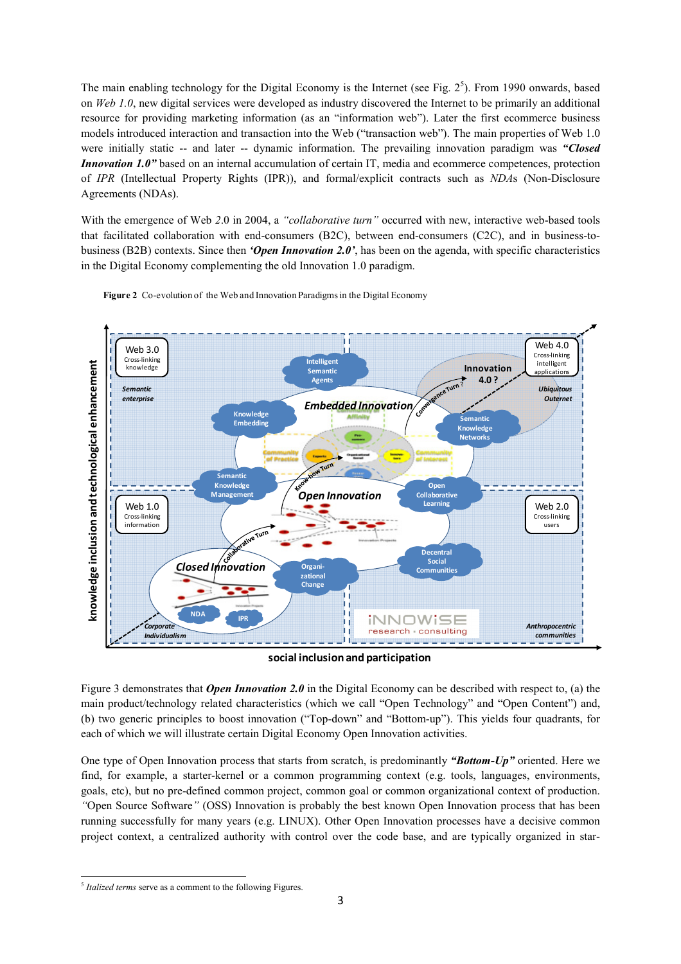The main enabling technology for the Digital Economy is the Internet (see Fig. 2<sup>5</sup>). From 1990 onwards, based on *Web 1.0*, new digital services were developed as industry discovered the Internet to be primarily an additional resource for providing marketing information (as an "information web"). Later the first ecommerce business models introduced interaction and transaction into the Web ("transaction web"). The main properties of Web 1.0 were initially static -- and later -- dynamic information. The prevailing innovation paradigm was *"Closed Innovation 1.0"* based on an internal accumulation of certain IT, media and ecommerce competences, protection of *IPR* (Intellectual Property Rights (IPR)), and formal/explicit contracts such as *DA*s (Non-Disclosure Agreements (NDAs).

With the emergence of Web 2.0 in 2004, a *"collaborative turn"* occurred with new, interactive web-based tools that facilitated collaboration with end-consumers (B2C), between end-consumers (C2C), and in business-tobusiness (B2B) contexts. Since then *'Open Innovation 2.0'*, has been on the agenda, with specific characteristics in the Digital Economy complementing the old Innovation 1.0 paradigm.





**social inclusion and participation**

Figure 3 demonstrates that *Open Innovation 2.0* in the Digital Economy can be described with respect to, (a) the main product/technology related characteristics (which we call "Open Technology" and "Open Content") and, (b) two generic principles to boost innovation ("Top-down" and "Bottom-up"). This yields four quadrants, for each of which we will illustrate certain Digital Economy Open Innovation activities.

One type of Open Innovation process that starts from scratch, is predominantly *"Bottom-Up"* oriented. Here we find, for example, a starter-kernel or a common programming context (e.g. tools, languages, environments, goals, etc), but no pre-defined common project, common goal or common organizational context of production. *"*Open Source Software*"* (OSS) Innovation is probably the best known Open Innovation process that has been running successfully for many years (e.g. LINUX). Other Open Innovation processes have a decisive common project context, a centralized authority with control over the code base, and are typically organized in star-

 $\overline{a}$ 5 *Italized terms* serve as a comment to the following Figures.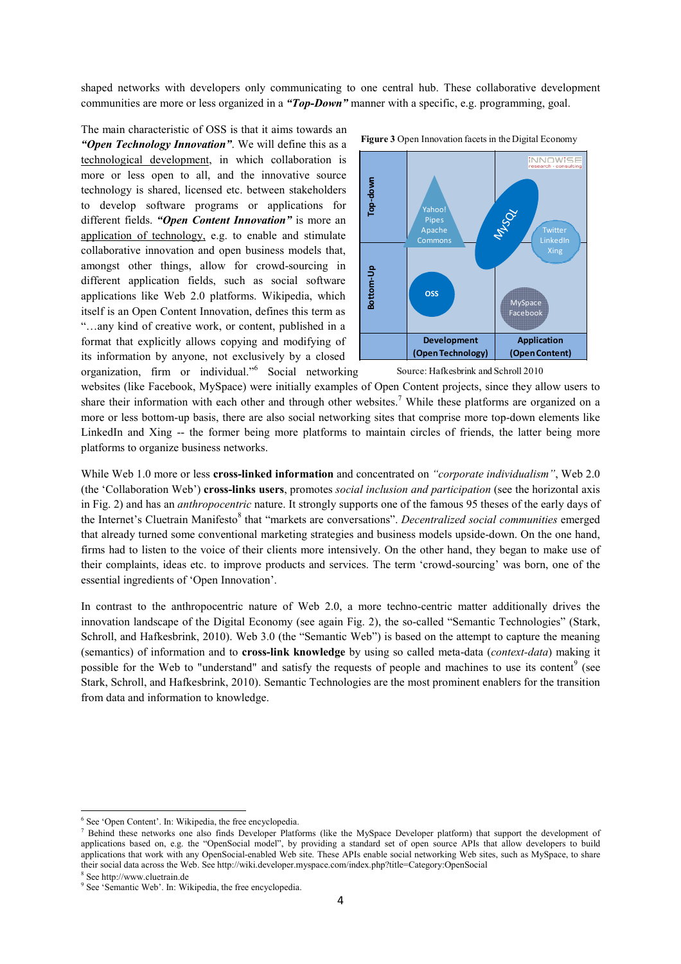shaped networks with developers only communicating to one central hub. These collaborative development communities are more or less organized in a *"Top-Down"* manner with a specific, e.g. programming, goal.

The main characteristic of OSS is that it aims towards an *"Open Technology Innovation"*. We will define this as a technological development, in which collaboration is more or less open to all, and the innovative source technology is shared, licensed etc. between stakeholders to develop software programs or applications for different fields. *"Open Content Innovation"* is more an application of technology, e.g. to enable and stimulate collaborative innovation and open business models that, amongst other things, allow for crowd-sourcing in different application fields, such as social software applications like Web 2.0 platforms. Wikipedia, which itself is an Open Content Innovation, defines this term as "…any kind of creative work, or content, published in a format that explicitly allows copying and modifying of its information by anyone, not exclusively by a closed organization, firm or individual."<sup>6</sup> Social networking



**Figure 3** Open Innovation facets in the Digital Economy

websites (like Facebook, MySpace) were initially examples of Open Content projects, since they allow users to share their information with each other and through other websites.<sup>7</sup> While these platforms are organized on a more or less bottom-up basis, there are also social networking sites that comprise more top-down elements like LinkedIn and Xing -- the former being more platforms to maintain circles of friends, the latter being more platforms to organize business networks.

While Web 1.0 more or less **cross-linked information** and concentrated on *"corporate individualism"*, Web 2.0 (the 'Collaboration Web') **cross-links users**, promotes *social inclusion and participation* (see the horizontal axis in Fig. 2) and has an *anthropocentric* nature. It strongly supports one of the famous 95 theses of the early days of the Internet's Cluetrain Manifesto<sup>8</sup> that "markets are conversations". *Decentralized social communities* emerged that already turned some conventional marketing strategies and business models upside-down. On the one hand, firms had to listen to the voice of their clients more intensively. On the other hand, they began to make use of their complaints, ideas etc. to improve products and services. The term 'crowd-sourcing' was born, one of the essential ingredients of 'Open Innovation'.

In contrast to the anthropocentric nature of Web 2.0, a more techno-centric matter additionally drives the innovation landscape of the Digital Economy (see again Fig. 2), the so-called "Semantic Technologies" (Stark, Schroll, and Hafkesbrink, 2010). Web 3.0 (the "Semantic Web") is based on the attempt to capture the meaning (semantics) of information and to **cross-link knowledge** by using so called meta-data (*context-data*) making it possible for the Web to "understand" and satisfy the requests of people and machines to use its content<sup>9</sup> (see Stark, Schroll, and Hafkesbrink, 2010). Semantic Technologies are the most prominent enablers for the transition from data and information to knowledge.

 $\overline{a}$ 

Source: Hafkesbrink and Schroll 2010

<sup>6</sup> See 'Open Content'. In: Wikipedia, the free encyclopedia.

<sup>&</sup>lt;sup>7</sup> Behind these networks one also finds Developer Platforms (like the MySpace Developer platform) that support the development of applications based on, e.g. the "OpenSocial model", by providing a standard set of open source APIs that allow developers to build applications that work with any OpenSocial-enabled Web site. These APIs enable social networking Web sites, such as MySpace, to share their social data across the Web. See http://wiki.developer.myspace.com/index.php?title=Category:OpenSocial

<sup>8</sup> See http://www.cluetrain.de

<sup>9</sup> See 'Semantic Web'. In: Wikipedia, the free encyclopedia.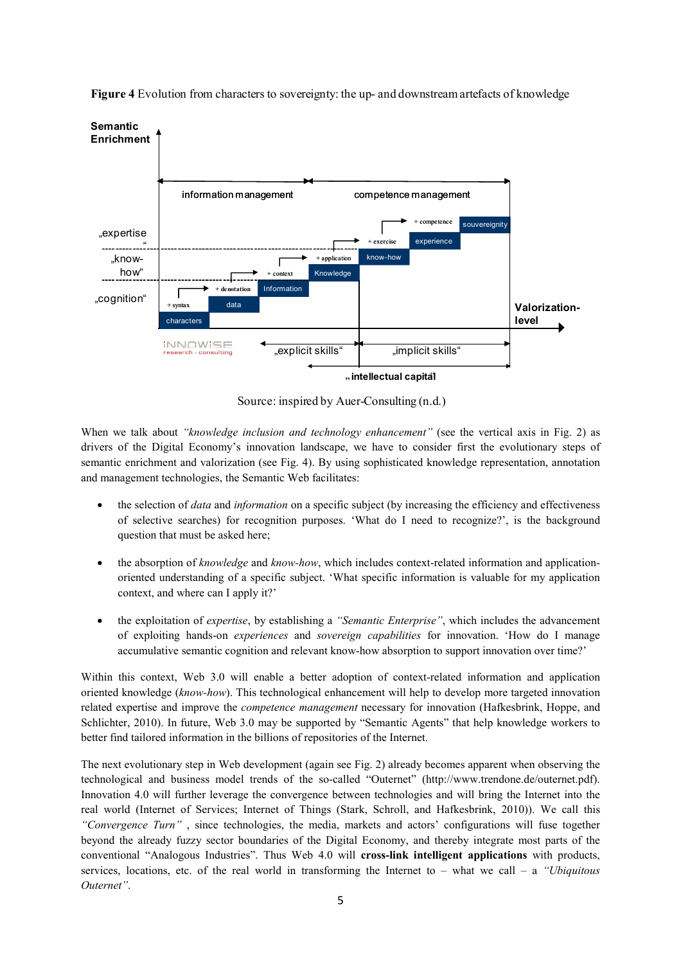

**Figure 4** Evolution from characters to sovereignty: the up- and downstream artefacts of knowledge

Source: inspired by Auer-Consulting (n.d.)

When we talk about *"knowledge inclusion and technology enhancement"* (see the vertical axis in Fig. 2) as drivers of the Digital Economy's innovation landscape, we have to consider first the evolutionary steps of semantic enrichment and valorization (see Fig. 4). By using sophisticated knowledge representation, annotation and management technologies, the Semantic Web facilitates:

- the selection of *data* and *information* on a specific subject (by increasing the efficiency and effectiveness of selective searches) for recognition purposes. 'What do I need to recognize?', is the background question that must be asked here;
- the absorption of *knowledge* and *know-how*, which includes context-related information and applicationoriented understanding of a specific subject. 'What specific information is valuable for my application context, and where can I apply it?'
- the exploitation of *expertise*, by establishing a *"Semantic Enterprise"*, which includes the advancement of exploiting hands-on *experiences* and *sovereign capabilities* for innovation. 'How do I manage accumulative semantic cognition and relevant know-how absorption to support innovation over time?'

Within this context, Web 3.0 will enable a better adoption of context-related information and application oriented knowledge (*know-how*). This technological enhancement will help to develop more targeted innovation related expertise and improve the *competence management* necessary for innovation (Hafkesbrink, Hoppe, and Schlichter, 2010). In future, Web 3.0 may be supported by "Semantic Agents" that help knowledge workers to better find tailored information in the billions of repositories of the Internet.

The next evolutionary step in Web development (again see Fig. 2) already becomes apparent when observing the technological and business model trends of the so-called "Outernet" (http://www.trendone.de/outernet.pdf). Innovation 4.0 will further leverage the convergence between technologies and will bring the Internet into the real world (Internet of Services; Internet of Things (Stark, Schroll, and Hafkesbrink, 2010)). We call this *"Convergence Turn"* , since technologies, the media, markets and actors' configurations will fuse together beyond the already fuzzy sector boundaries of the Digital Economy, and thereby integrate most parts of the conventional "Analogous Industries". Thus Web 4.0 will **cross-link intelligent applications** with products, services, locations, etc. of the real world in transforming the Internet to – what we call – a *"Ubiquitous Outernet"*.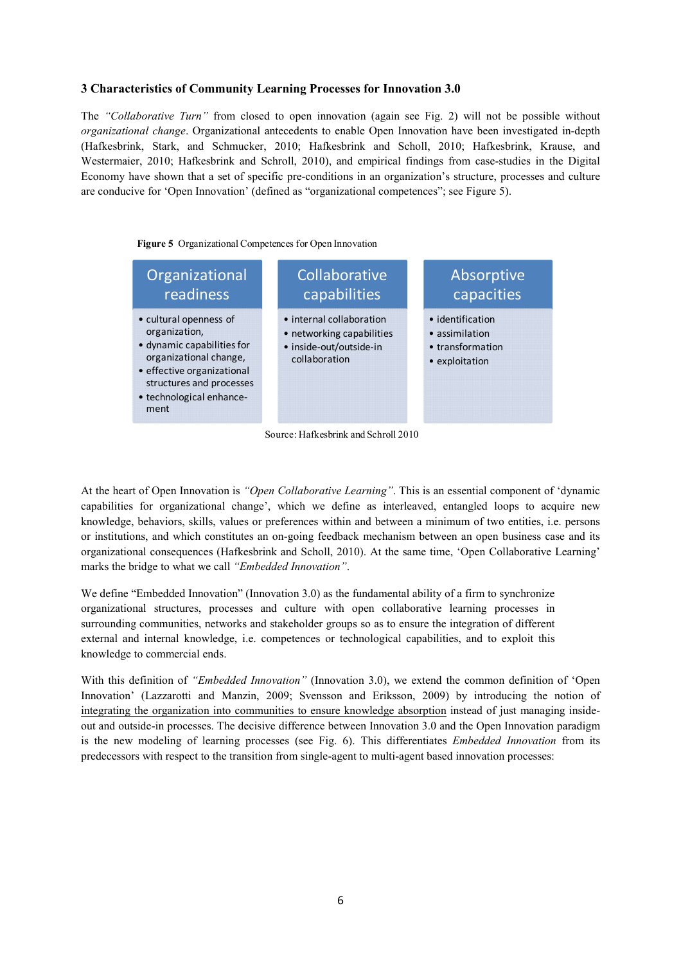### **3 Characteristics of Community Learning Processes for Innovation 3.0**

The *"Collaborative Turn"* from closed to open innovation (again see Fig. 2) will not be possible without *organizational change*. Organizational antecedents to enable Open Innovation have been investigated in-depth (Hafkesbrink, Stark, and Schmucker, 2010; Hafkesbrink and Scholl, 2010; Hafkesbrink, Krause, and Westermaier, 2010; Hafkesbrink and Schroll, 2010), and empirical findings from case-studies in the Digital Economy have shown that a set of specific pre-conditions in an organization's structure, processes and culture are conducive for 'Open Innovation' (defined as "organizational competences"; see Figure 5).

**Figure 5** Organizational Competences for Open Innovation



Source: Hafkesbrink and Schroll 2010

At the heart of Open Innovation is *"Open Collaborative Learning"*. This is an essential component of 'dynamic capabilities for organizational change', which we define as interleaved, entangled loops to acquire new knowledge, behaviors, skills, values or preferences within and between a minimum of two entities, i.e. persons or institutions, and which constitutes an on-going feedback mechanism between an open business case and its organizational consequences (Hafkesbrink and Scholl, 2010). At the same time, 'Open Collaborative Learning' marks the bridge to what we call *"Embedded Innovation"*.

We define "Embedded Innovation" (Innovation 3.0) as the fundamental ability of a firm to synchronize organizational structures, processes and culture with open collaborative learning processes in surrounding communities, networks and stakeholder groups so as to ensure the integration of different external and internal knowledge, i.e. competences or technological capabilities, and to exploit this knowledge to commercial ends.

With this definition of *"Embedded Innovation"* (Innovation 3.0), we extend the common definition of 'Open Innovation' (Lazzarotti and Manzin, 2009; Svensson and Eriksson, 2009) by introducing the notion of integrating the organization into communities to ensure knowledge absorption instead of just managing insideout and outside-in processes. The decisive difference between Innovation 3.0 and the Open Innovation paradigm is the new modeling of learning processes (see Fig. 6). This differentiates *Embedded Innovation* from its predecessors with respect to the transition from single-agent to multi-agent based innovation processes: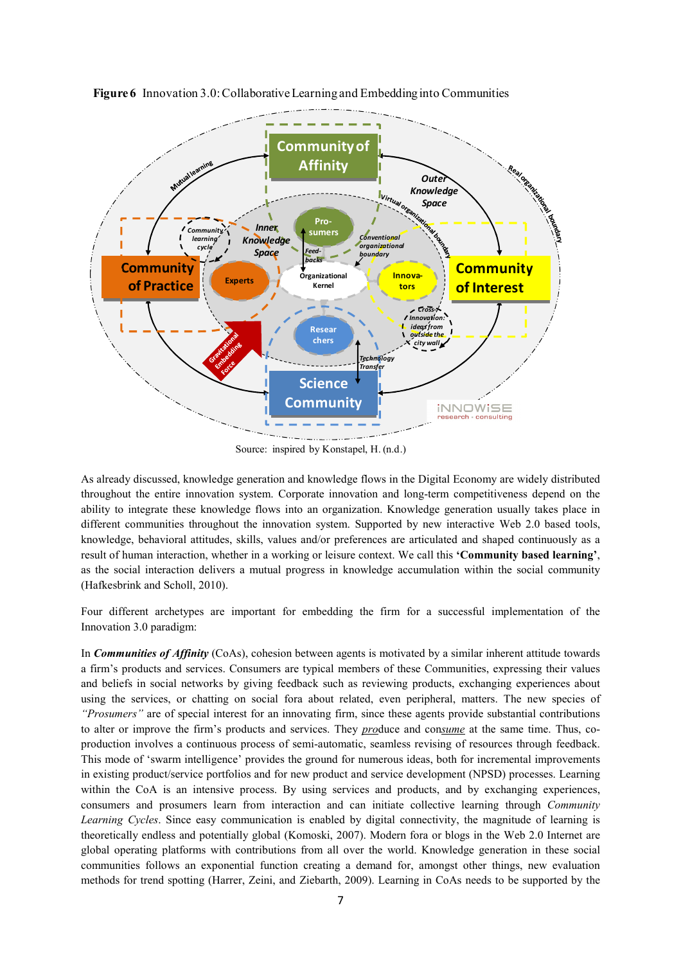

**Figure 6** Innovation 3.0: Collaborative Learning and Embedding into Communities

Source: inspired by Konstapel, H. (n.d.)

As already discussed, knowledge generation and knowledge flows in the Digital Economy are widely distributed throughout the entire innovation system. Corporate innovation and long-term competitiveness depend on the ability to integrate these knowledge flows into an organization. Knowledge generation usually takes place in different communities throughout the innovation system. Supported by new interactive Web 2.0 based tools, knowledge, behavioral attitudes, skills, values and/or preferences are articulated and shaped continuously as a result of human interaction, whether in a working or leisure context. We call this **'Community based learning'**, as the social interaction delivers a mutual progress in knowledge accumulation within the social community (Hafkesbrink and Scholl, 2010).

Four different archetypes are important for embedding the firm for a successful implementation of the Innovation 3.0 paradigm:

In *Communities of Affinity* (CoAs), cohesion between agents is motivated by a similar inherent attitude towards a firm's products and services. Consumers are typical members of these Communities, expressing their values and beliefs in social networks by giving feedback such as reviewing products, exchanging experiences about using the services, or chatting on social fora about related, even peripheral, matters. The new species of *"Prosumers"* are of special interest for an innovating firm, since these agents provide substantial contributions to alter or improve the firm's products and services. They *pro*duce and con*sume* at the same time. Thus, coproduction involves a continuous process of semi-automatic, seamless revising of resources through feedback. This mode of 'swarm intelligence' provides the ground for numerous ideas, both for incremental improvements in existing product/service portfolios and for new product and service development (NPSD) processes. Learning within the CoA is an intensive process. By using services and products, and by exchanging experiences, consumers and prosumers learn from interaction and can initiate collective learning through *Community Learning Cycles*. Since easy communication is enabled by digital connectivity, the magnitude of learning is theoretically endless and potentially global (Komoski, 2007). Modern fora or blogs in the Web 2.0 Internet are global operating platforms with contributions from all over the world. Knowledge generation in these social communities follows an exponential function creating a demand for, amongst other things, new evaluation methods for trend spotting (Harrer, Zeini, and Ziebarth, 2009). Learning in CoAs needs to be supported by the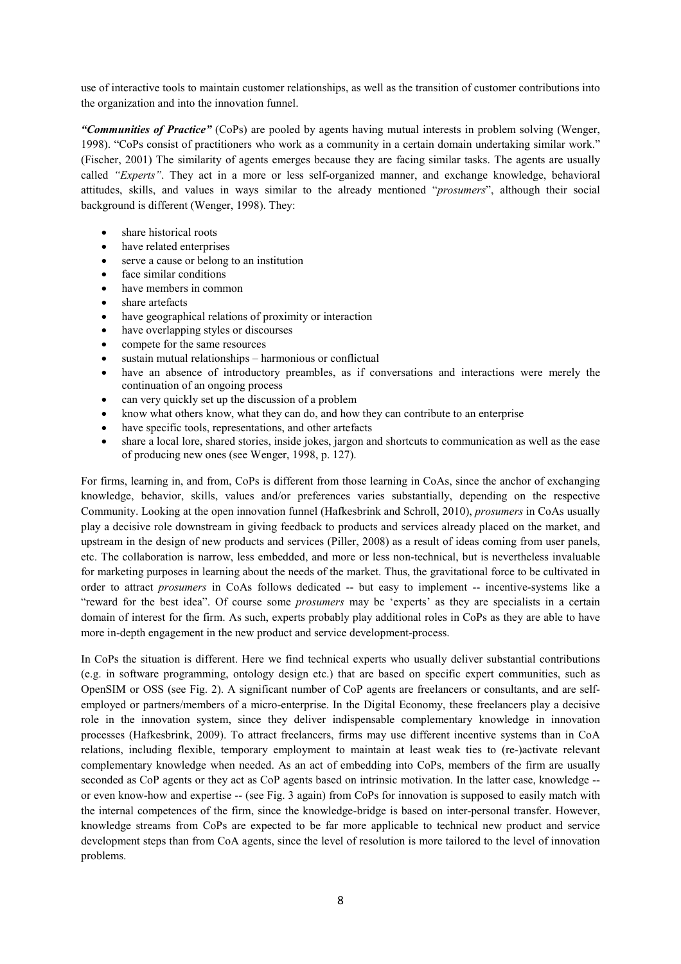use of interactive tools to maintain customer relationships, as well as the transition of customer contributions into the organization and into the innovation funnel.

*"Communities of Practice"* (CoPs) are pooled by agents having mutual interests in problem solving (Wenger, 1998). "CoPs consist of practitioners who work as a community in a certain domain undertaking similar work." (Fischer, 2001) The similarity of agents emerges because they are facing similar tasks. The agents are usually called *"Experts"*. They act in a more or less self-organized manner, and exchange knowledge, behavioral attitudes, skills, and values in ways similar to the already mentioned "*prosumers*", although their social background is different (Wenger, 1998). They:

- share historical roots
- have related enterprises
- serve a cause or belong to an institution
- face similar conditions
- have members in common
- share artefacts
- have geographical relations of proximity or interaction
- have overlapping styles or discourses
- compete for the same resources
- sustain mutual relationships harmonious or conflictual
- have an absence of introductory preambles, as if conversations and interactions were merely the continuation of an ongoing process
- can very quickly set up the discussion of a problem
- know what others know, what they can do, and how they can contribute to an enterprise
- have specific tools, representations, and other artefacts
- share a local lore, shared stories, inside jokes, jargon and shortcuts to communication as well as the ease of producing new ones (see Wenger, 1998, p. 127).

For firms, learning in, and from, CoPs is different from those learning in CoAs, since the anchor of exchanging knowledge, behavior, skills, values and/or preferences varies substantially, depending on the respective Community. Looking at the open innovation funnel (Hafkesbrink and Schroll, 2010), *prosumers* in CoAs usually play a decisive role downstream in giving feedback to products and services already placed on the market, and upstream in the design of new products and services (Piller, 2008) as a result of ideas coming from user panels, etc. The collaboration is narrow, less embedded, and more or less non-technical, but is nevertheless invaluable for marketing purposes in learning about the needs of the market. Thus, the gravitational force to be cultivated in order to attract *prosumers* in CoAs follows dedicated -- but easy to implement -- incentive-systems like a "reward for the best idea". Of course some *prosumers* may be 'experts' as they are specialists in a certain domain of interest for the firm. As such, experts probably play additional roles in CoPs as they are able to have more in-depth engagement in the new product and service development-process.

In CoPs the situation is different. Here we find technical experts who usually deliver substantial contributions (e.g. in software programming, ontology design etc.) that are based on specific expert communities, such as OpenSIM or OSS (see Fig. 2). A significant number of CoP agents are freelancers or consultants, and are selfemployed or partners/members of a micro-enterprise. In the Digital Economy, these freelancers play a decisive role in the innovation system, since they deliver indispensable complementary knowledge in innovation processes (Hafkesbrink, 2009). To attract freelancers, firms may use different incentive systems than in CoA relations, including flexible, temporary employment to maintain at least weak ties to (re-)activate relevant complementary knowledge when needed. As an act of embedding into CoPs, members of the firm are usually seconded as CoP agents or they act as CoP agents based on intrinsic motivation. In the latter case, knowledge - or even know-how and expertise -- (see Fig. 3 again) from CoPs for innovation is supposed to easily match with the internal competences of the firm, since the knowledge-bridge is based on inter-personal transfer. However, knowledge streams from CoPs are expected to be far more applicable to technical new product and service development steps than from CoA agents, since the level of resolution is more tailored to the level of innovation problems.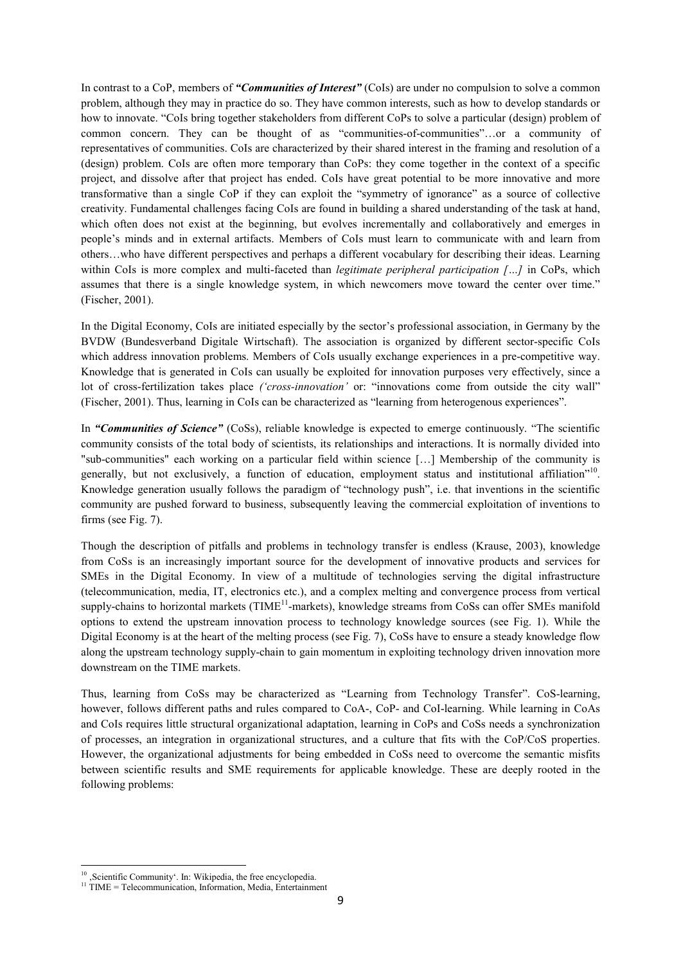In contrast to a CoP, members of *"Communities of Interest"* (CoIs) are under no compulsion to solve a common problem, although they may in practice do so. They have common interests, such as how to develop standards or how to innovate. "CoIs bring together stakeholders from different CoPs to solve a particular (design) problem of common concern. They can be thought of as "communities-of-communities"…or a community of representatives of communities. CoIs are characterized by their shared interest in the framing and resolution of a (design) problem. CoIs are often more temporary than CoPs: they come together in the context of a specific project, and dissolve after that project has ended. CoIs have great potential to be more innovative and more transformative than a single CoP if they can exploit the "symmetry of ignorance" as a source of collective creativity. Fundamental challenges facing CoIs are found in building a shared understanding of the task at hand, which often does not exist at the beginning, but evolves incrementally and collaboratively and emerges in people's minds and in external artifacts. Members of CoIs must learn to communicate with and learn from others…who have different perspectives and perhaps a different vocabulary for describing their ideas. Learning within CoIs is more complex and multi-faceted than *legitimate peripheral participation [...]* in CoPs, which assumes that there is a single knowledge system, in which newcomers move toward the center over time." (Fischer, 2001).

In the Digital Economy, CoIs are initiated especially by the sector's professional association, in Germany by the BVDW (Bundesverband Digitale Wirtschaft). The association is organized by different sector-specific CoIs which address innovation problems. Members of CoIs usually exchange experiences in a pre-competitive way. Knowledge that is generated in CoIs can usually be exploited for innovation purposes very effectively, since a lot of cross-fertilization takes place *('cross-innovation'* or: "innovations come from outside the city wall" (Fischer, 2001). Thus, learning in CoIs can be characterized as "learning from heterogenous experiences".

In *"Communities of Science"* (CoSs), reliable knowledge is expected to emerge continuously. "The scientific community consists of the total body of scientists, its relationships and interactions. It is normally divided into "sub-communities" each working on a particular field within science […] Membership of the community is generally, but not exclusively, a function of education, employment status and institutional affiliation"<sup>10</sup>. Knowledge generation usually follows the paradigm of "technology push", i.e. that inventions in the scientific community are pushed forward to business, subsequently leaving the commercial exploitation of inventions to firms (see Fig. 7).

Though the description of pitfalls and problems in technology transfer is endless (Krause, 2003), knowledge from CoSs is an increasingly important source for the development of innovative products and services for SMEs in the Digital Economy. In view of a multitude of technologies serving the digital infrastructure (telecommunication, media, IT, electronics etc.), and a complex melting and convergence process from vertical supply-chains to horizontal markets ( $TIME<sup>11</sup>$ -markets), knowledge streams from CoSs can offer SMEs manifold options to extend the upstream innovation process to technology knowledge sources (see Fig. 1). While the Digital Economy is at the heart of the melting process (see Fig. 7), CoSs have to ensure a steady knowledge flow along the upstream technology supply-chain to gain momentum in exploiting technology driven innovation more downstream on the TIME markets.

Thus, learning from CoSs may be characterized as "Learning from Technology Transfer". CoS-learning, however, follows different paths and rules compared to CoA-, CoP- and CoI-learning. While learning in CoAs and CoIs requires little structural organizational adaptation, learning in CoPs and CoSs needs a synchronization of processes, an integration in organizational structures, and a culture that fits with the CoP/CoS properties. However, the organizational adjustments for being embedded in CoSs need to overcome the semantic misfits between scientific results and SME requirements for applicable knowledge. These are deeply rooted in the following problems:

 $\overline{a}$ 

<sup>&</sup>lt;sup>10</sup>, Scientific Community'. In: Wikipedia, the free encyclopedia.

<sup>&</sup>lt;sup>11</sup> TIME = Telecommunication, Information, Media, Entertainment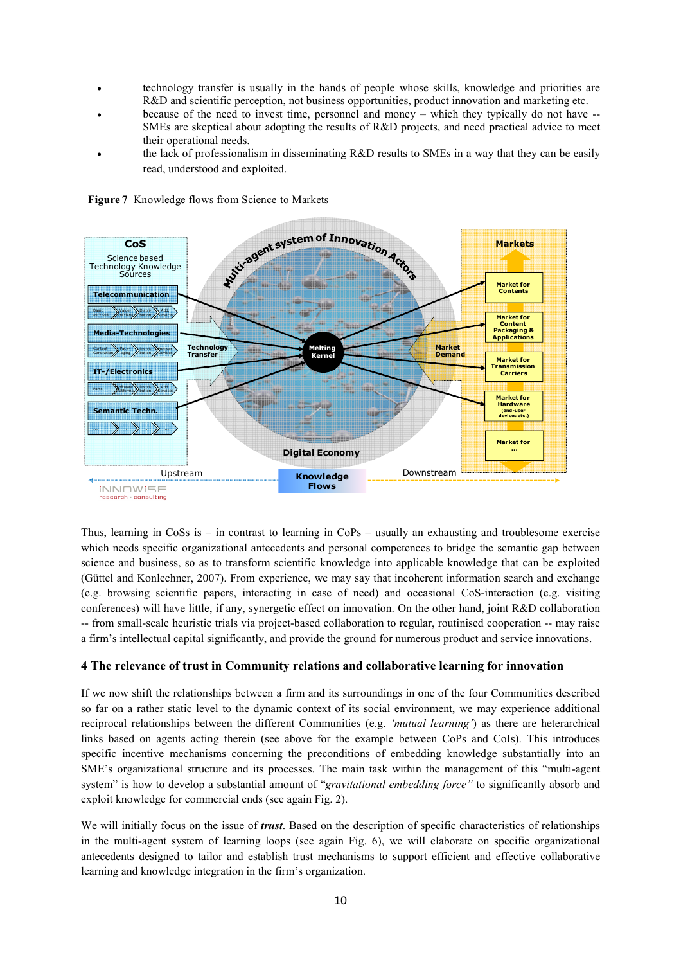- technology transfer is usually in the hands of people whose skills, knowledge and priorities are R&D and scientific perception, not business opportunities, product innovation and marketing etc.
- because of the need to invest time, personnel and money which they typically do not have -- SMEs are skeptical about adopting the results of R&D projects, and need practical advice to meet their operational needs.
- the lack of professionalism in disseminating R&D results to SMEs in a way that they can be easily read, understood and exploited.



**Figure 7** Knowledge flows from Science to Markets

Thus, learning in CoSs is – in contrast to learning in CoPs – usually an exhausting and troublesome exercise which needs specific organizational antecedents and personal competences to bridge the semantic gap between science and business, so as to transform scientific knowledge into applicable knowledge that can be exploited (Güttel and Konlechner, 2007). From experience, we may say that incoherent information search and exchange (e.g. browsing scientific papers, interacting in case of need) and occasional CoS-interaction (e.g. visiting conferences) will have little, if any, synergetic effect on innovation. On the other hand, joint R&D collaboration -- from small-scale heuristic trials via project-based collaboration to regular, routinised cooperation -- may raise a firm's intellectual capital significantly, and provide the ground for numerous product and service innovations.

## **4 The relevance of trust in Community relations and collaborative learning for innovation**

If we now shift the relationships between a firm and its surroundings in one of the four Communities described so far on a rather static level to the dynamic context of its social environment, we may experience additional reciprocal relationships between the different Communities (e.g. *'mutual learning'*) as there are heterarchical links based on agents acting therein (see above for the example between CoPs and CoIs). This introduces specific incentive mechanisms concerning the preconditions of embedding knowledge substantially into an SME's organizational structure and its processes. The main task within the management of this "multi-agent system" is how to develop a substantial amount of "*gravitational embedding force"* to significantly absorb and exploit knowledge for commercial ends (see again Fig. 2).

We will initially focus on the issue of *trust*. Based on the description of specific characteristics of relationships in the multi-agent system of learning loops (see again Fig. 6), we will elaborate on specific organizational antecedents designed to tailor and establish trust mechanisms to support efficient and effective collaborative learning and knowledge integration in the firm's organization.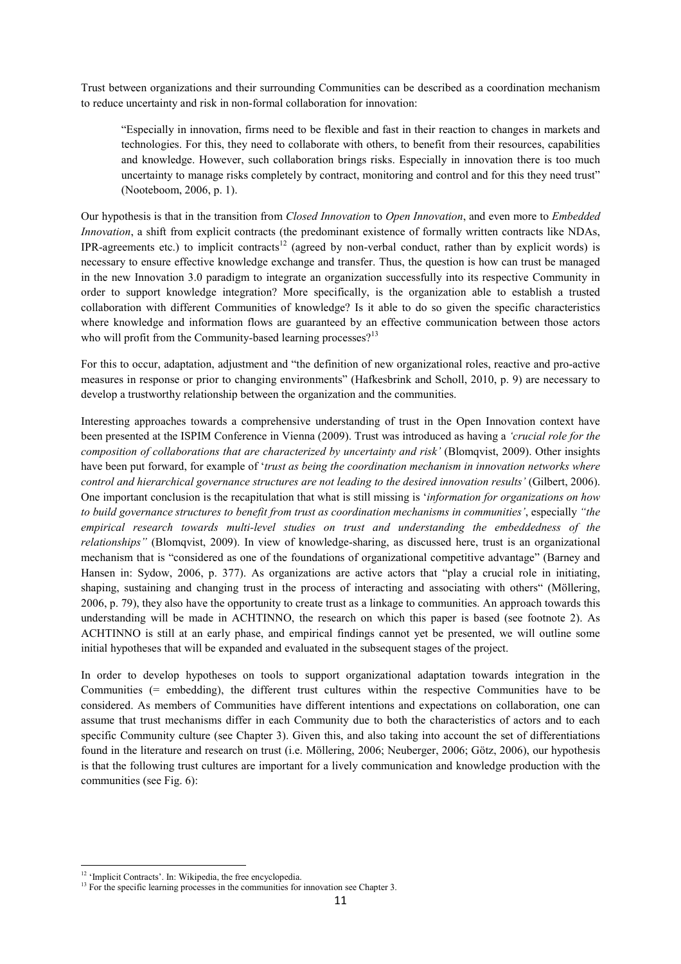Trust between organizations and their surrounding Communities can be described as a coordination mechanism to reduce uncertainty and risk in non-formal collaboration for innovation:

"Especially in innovation, firms need to be flexible and fast in their reaction to changes in markets and technologies. For this, they need to collaborate with others, to benefit from their resources, capabilities and knowledge. However, such collaboration brings risks. Especially in innovation there is too much uncertainty to manage risks completely by contract, monitoring and control and for this they need trust" (Nooteboom, 2006, p. 1).

Our hypothesis is that in the transition from *Closed Innovation* to *Open Innovation*, and even more to *Embedded Innovation*, a shift from explicit contracts (the predominant existence of formally written contracts like NDAs, IPR-agreements etc.) to implicit contracts<sup>12</sup> (agreed by non-verbal conduct, rather than by explicit words) is necessary to ensure effective knowledge exchange and transfer. Thus, the question is how can trust be managed in the new Innovation 3.0 paradigm to integrate an organization successfully into its respective Community in order to support knowledge integration? More specifically, is the organization able to establish a trusted collaboration with different Communities of knowledge? Is it able to do so given the specific characteristics where knowledge and information flows are guaranteed by an effective communication between those actors who will profit from the Community-based learning processes?<sup>13</sup>

For this to occur, adaptation, adjustment and "the definition of new organizational roles, reactive and pro-active measures in response or prior to changing environments" (Hafkesbrink and Scholl, 2010, p. 9) are necessary to develop a trustworthy relationship between the organization and the communities.

Interesting approaches towards a comprehensive understanding of trust in the Open Innovation context have been presented at the ISPIM Conference in Vienna (2009). Trust was introduced as having a *'crucial role for the composition of collaborations that are characterized by uncertainty and risk'* (Blomqvist, 2009). Other insights have been put forward, for example of '*trust as being the coordination mechanism in innovation networks where control and hierarchical governance structures are not leading to the desired innovation results'* (Gilbert, 2006). One important conclusion is the recapitulation that what is still missing is '*information for organizations on how to build governance structures to benefit from trust as coordination mechanisms in communities'*, especially *"the empirical research towards multi-level studies on trust and understanding the embeddedness of the relationships"* (Blomqvist, 2009). In view of knowledge-sharing, as discussed here, trust is an organizational mechanism that is "considered as one of the foundations of organizational competitive advantage" (Barney and Hansen in: Sydow, 2006, p. 377). As organizations are active actors that "play a crucial role in initiating, shaping, sustaining and changing trust in the process of interacting and associating with others" (Möllering, 2006, p. 79), they also have the opportunity to create trust as a linkage to communities. An approach towards this understanding will be made in ACHTINNO, the research on which this paper is based (see footnote 2). As ACHTINNO is still at an early phase, and empirical findings cannot yet be presented, we will outline some initial hypotheses that will be expanded and evaluated in the subsequent stages of the project.

In order to develop hypotheses on tools to support organizational adaptation towards integration in the Communities (= embedding), the different trust cultures within the respective Communities have to be considered. As members of Communities have different intentions and expectations on collaboration, one can assume that trust mechanisms differ in each Community due to both the characteristics of actors and to each specific Community culture (see Chapter 3). Given this, and also taking into account the set of differentiations found in the literature and research on trust (i.e. Möllering, 2006; Neuberger, 2006; Götz, 2006), our hypothesis is that the following trust cultures are important for a lively communication and knowledge production with the communities (see Fig. 6):

 $\overline{a}$ 

<sup>&</sup>lt;sup>12</sup> 'Implicit Contracts'. In: Wikipedia, the free encyclopedia.

<sup>&</sup>lt;sup>13</sup> For the specific learning processes in the communities for innovation see Chapter 3.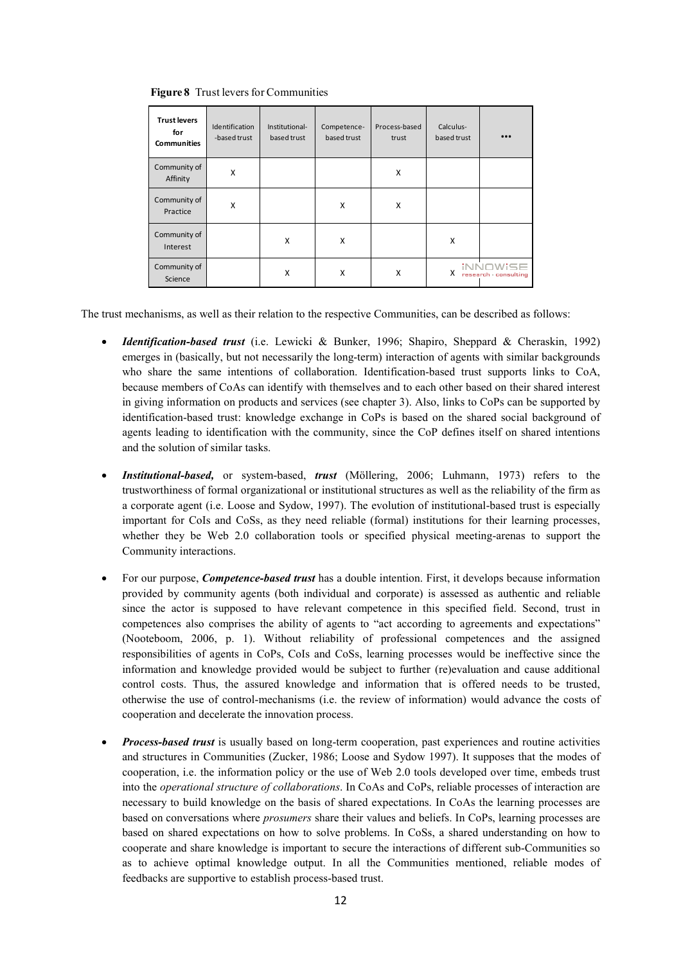| <b>Trust levers</b><br>for<br><b>Communities</b> | Identification<br>-based trust | Institutional-<br>based trust | Competence-<br>based trust | Process-based<br>trust | Calculus-<br>based trust | $\bullet \bullet \bullet$                 |
|--------------------------------------------------|--------------------------------|-------------------------------|----------------------------|------------------------|--------------------------|-------------------------------------------|
| Community of<br>Affinity                         | X                              |                               |                            | X                      |                          |                                           |
| Community of<br>Practice                         | X                              |                               | X                          | X                      |                          |                                           |
| Community of<br>Interest                         |                                | X                             | X                          |                        | X                        |                                           |
| Community of<br>Science                          |                                | X                             | X                          | X                      | X                        | $i \in \mathbb{N}$<br>research consulting |

**Figure 8** Trust levers for Communities

The trust mechanisms, as well as their relation to the respective Communities, can be described as follows:

- *Identification-based trust* (i.e. Lewicki & Bunker, 1996; Shapiro, Sheppard & Cheraskin, 1992) emerges in (basically, but not necessarily the long-term) interaction of agents with similar backgrounds who share the same intentions of collaboration. Identification-based trust supports links to CoA, because members of CoAs can identify with themselves and to each other based on their shared interest in giving information on products and services (see chapter 3). Also, links to CoPs can be supported by identification-based trust: knowledge exchange in CoPs is based on the shared social background of agents leading to identification with the community, since the CoP defines itself on shared intentions and the solution of similar tasks.
- *Institutional-based,* or system-based, *trust* (Möllering, 2006; Luhmann, 1973) refers to the trustworthiness of formal organizational or institutional structures as well as the reliability of the firm as a corporate agent (i.e. Loose and Sydow, 1997). The evolution of institutional-based trust is especially important for CoIs and CoSs, as they need reliable (formal) institutions for their learning processes, whether they be Web 2.0 collaboration tools or specified physical meeting-arenas to support the Community interactions.
- For our purpose, *Competence-based trust* has a double intention. First, it develops because information provided by community agents (both individual and corporate) is assessed as authentic and reliable since the actor is supposed to have relevant competence in this specified field. Second, trust in competences also comprises the ability of agents to "act according to agreements and expectations" (Nooteboom, 2006, p. 1). Without reliability of professional competences and the assigned responsibilities of agents in CoPs, CoIs and CoSs, learning processes would be ineffective since the information and knowledge provided would be subject to further (re)evaluation and cause additional control costs. Thus, the assured knowledge and information that is offered needs to be trusted, otherwise the use of control-mechanisms (i.e. the review of information) would advance the costs of cooperation and decelerate the innovation process.
- *Process-based trust* is usually based on long-term cooperation, past experiences and routine activities and structures in Communities (Zucker, 1986; Loose and Sydow 1997). It supposes that the modes of cooperation, i.e. the information policy or the use of Web 2.0 tools developed over time, embeds trust into the *operational structure of collaborations*. In CoAs and CoPs, reliable processes of interaction are necessary to build knowledge on the basis of shared expectations. In CoAs the learning processes are based on conversations where *prosumers* share their values and beliefs. In CoPs, learning processes are based on shared expectations on how to solve problems. In CoSs, a shared understanding on how to cooperate and share knowledge is important to secure the interactions of different sub-Communities so as to achieve optimal knowledge output. In all the Communities mentioned, reliable modes of feedbacks are supportive to establish process-based trust.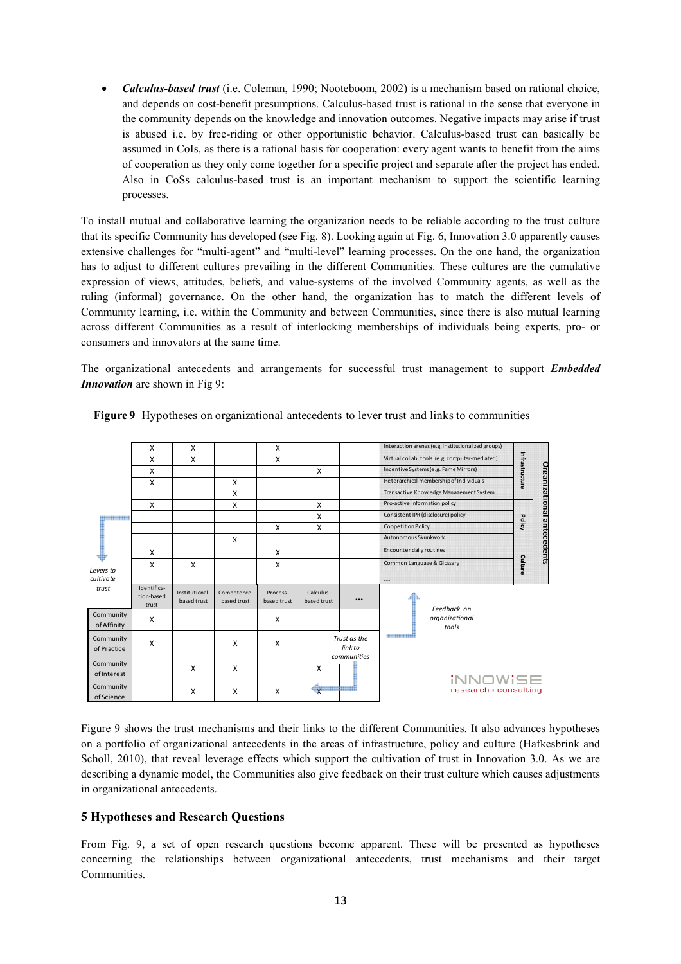• *Calculus-based trust* (i.e. Coleman, 1990; Nooteboom, 2002) is a mechanism based on rational choice, and depends on cost-benefit presumptions. Calculus-based trust is rational in the sense that everyone in the community depends on the knowledge and innovation outcomes. Negative impacts may arise if trust is abused i.e. by free-riding or other opportunistic behavior. Calculus-based trust can basically be assumed in CoIs, as there is a rational basis for cooperation: every agent wants to benefit from the aims of cooperation as they only come together for a specific project and separate after the project has ended. Also in CoSs calculus-based trust is an important mechanism to support the scientific learning processes.

To install mutual and collaborative learning the organization needs to be reliable according to the trust culture that its specific Community has developed (see Fig. 8). Looking again at Fig. 6, Innovation 3.0 apparently causes extensive challenges for "multi-agent" and "multi-level" learning processes. On the one hand, the organization has to adjust to different cultures prevailing in the different Communities. These cultures are the cumulative expression of views, attitudes, beliefs, and value-systems of the involved Community agents, as well as the ruling (informal) governance. On the other hand, the organization has to match the different levels of Community learning, i.e. within the Community and between Communities, since there is also mutual learning across different Communities as a result of interlocking memberships of individuals being experts, pro- or consumers and innovators at the same time.

The organizational antecedents and arrangements for successful trust management to support *Embedded Innovation* are shown in Fig 9:

| 98888888<br>8888888888888<br>888888888888<br>Levers to<br>cultivate<br>trust | X                   | X                             |                            | X                       |                                        |                         | Interaction arenas (e.g. institutionalized groups) | Infrastructure |                                   |
|------------------------------------------------------------------------------|---------------------|-------------------------------|----------------------------|-------------------------|----------------------------------------|-------------------------|----------------------------------------------------|----------------|-----------------------------------|
|                                                                              | X                   | X                             |                            | X                       |                                        |                         | Virtual collab. tools (e.g. computer-mediated)     |                |                                   |
|                                                                              | X                   |                               |                            |                         | X                                      |                         | Incentive Systems (e.g. Fame Mirrors)              |                |                                   |
|                                                                              | X                   |                               | X                          |                         |                                        |                         | Heterarchical membership of Individuals            |                |                                   |
|                                                                              |                     |                               | X                          |                         |                                        |                         | Transactive Knowledge Management System            |                | <b>Organizational antecedents</b> |
|                                                                              | X                   |                               | X                          |                         | X                                      |                         | Pro-active information policy                      | Policy         |                                   |
|                                                                              |                     |                               |                            |                         | X                                      |                         | Consistent IPR (disclosure) policy                 |                |                                   |
|                                                                              |                     |                               |                            | X                       | X                                      |                         | Coopetition Policy                                 |                |                                   |
|                                                                              |                     |                               | X                          |                         |                                        |                         | Autonomous Skunkwork                               |                |                                   |
|                                                                              | x                   |                               |                            | X                       |                                        |                         | Encounter daily routines                           |                |                                   |
|                                                                              | X                   | X                             |                            | X                       |                                        |                         | Common Language & Glossary                         | Culture        |                                   |
|                                                                              |                     |                               |                            |                         |                                        |                         |                                                    |                |                                   |
|                                                                              | Identifica-         |                               |                            |                         |                                        |                         | $\cdots$                                           |                |                                   |
|                                                                              | tion-based<br>trust | Institutional-<br>based trust | Competence-<br>based trust | Process-<br>based trust | Calculus-<br>based trust               |                         | Feedback on                                        |                |                                   |
| Community<br>of Affinity                                                     | X                   |                               |                            | X                       |                                        |                         | organizational                                     |                |                                   |
|                                                                              |                     |                               |                            |                         |                                        |                         | tools                                              |                |                                   |
| Community<br>of Practice                                                     | X                   |                               | X                          | X                       |                                        | Trust as the<br>link to | <b>Abbasa dhugud</b>                               |                |                                   |
|                                                                              |                     |                               |                            |                         |                                        | communities             |                                                    |                |                                   |
| Community                                                                    | X                   |                               | X                          |                         | X                                      |                         |                                                    |                |                                   |
| of Interest                                                                  |                     |                               |                            |                         |                                        |                         | iNNOWiSE                                           |                |                                   |
| Community<br>of Science                                                      |                     | X                             | X                          | X                       | $\left\langle \mathbf{x}\right\rangle$ |                         | research consulting                                |                |                                   |
|                                                                              |                     |                               |                            |                         |                                        |                         |                                                    |                |                                   |

**Figure 9** Hypotheses on organizational antecedents to lever trust and links to communities

Figure 9 shows the trust mechanisms and their links to the different Communities. It also advances hypotheses on a portfolio of organizational antecedents in the areas of infrastructure, policy and culture (Hafkesbrink and Scholl, 2010), that reveal leverage effects which support the cultivation of trust in Innovation 3.0. As we are describing a dynamic model, the Communities also give feedback on their trust culture which causes adjustments in organizational antecedents.

## **5 Hypotheses and Research Questions**

From Fig. 9, a set of open research questions become apparent. These will be presented as hypotheses concerning the relationships between organizational antecedents, trust mechanisms and their target Communities.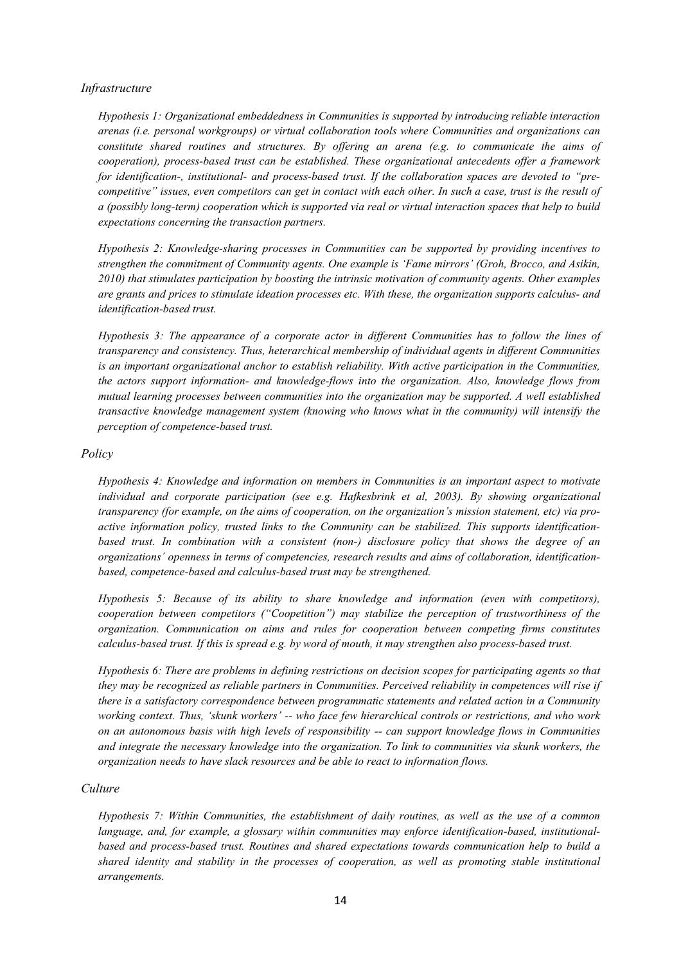#### *Infrastructure*

*Hypothesis 1: Organizational embeddedness in Communities is supported by introducing reliable interaction arenas (i.e. personal workgroups) or virtual collaboration tools where Communities and organizations can constitute shared routines and structures. By offering an arena (e.g. to communicate the aims of cooperation), process-based trust can be established. These organizational antecedents offer a framework for identification-, institutional- and process-based trust. If the collaboration spaces are devoted to "precompetitive" issues, even competitors can get in contact with each other. In such a case, trust is the result of a (possibly long-term) cooperation which is supported via real or virtual interaction spaces that help to build expectations concerning the transaction partners.* 

*Hypothesis 2: Knowledge-sharing processes in Communities can be supported by providing incentives to strengthen the commitment of Community agents. One example is 'Fame mirrors' (Groh, Brocco, and Asikin, 2010) that stimulates participation by boosting the intrinsic motivation of community agents. Other examples are grants and prices to stimulate ideation processes etc. With these, the organization supports calculus- and identification-based trust.* 

*Hypothesis 3: The appearance of a corporate actor in different Communities has to follow the lines of transparency and consistency. Thus, heterarchical membership of individual agents in different Communities is an important organizational anchor to establish reliability. With active participation in the Communities, the actors support information- and knowledge-flows into the organization. Also, knowledge flows from mutual learning processes between communities into the organization may be supported. A well established transactive knowledge management system (knowing who knows what in the community) will intensify the perception of competence-based trust.* 

### *Policy*

*Hypothesis 4: Knowledge and information on members in Communities is an important aspect to motivate individual and corporate participation (see e.g. Hafkesbrink et al, 2003). By showing organizational transparency (for example, on the aims of cooperation, on the organization's mission statement, etc) via proactive information policy, trusted links to the Community can be stabilized. This supports identificationbased trust. In combination with a consistent (non-) disclosure policy that shows the degree of an organizations´ openness in terms of competencies, research results and aims of collaboration, identificationbased, competence-based and calculus-based trust may be strengthened.* 

*Hypothesis 5: Because of its ability to share knowledge and information (even with competitors), cooperation between competitors ("Coopetition") may stabilize the perception of trustworthiness of the organization. Communication on aims and rules for cooperation between competing firms constitutes calculus-based trust. If this is spread e.g. by word of mouth, it may strengthen also process-based trust.* 

*Hypothesis 6: There are problems in defining restrictions on decision scopes for participating agents so that they may be recognized as reliable partners in Communities. Perceived reliability in competences will rise if there is a satisfactory correspondence between programmatic statements and related action in a Community working context. Thus, 'skunk workers' -- who face few hierarchical controls or restrictions, and who work on an autonomous basis with high levels of responsibility -- can support knowledge flows in Communities and integrate the necessary knowledge into the organization. To link to communities via skunk workers, the organization needs to have slack resources and be able to react to information flows.*

#### *Culture*

*Hypothesis 7: Within Communities, the establishment of daily routines, as well as the use of a common language, and, for example, a glossary within communities may enforce identification-based, institutionalbased and process-based trust. Routines and shared expectations towards communication help to build a shared identity and stability in the processes of cooperation, as well as promoting stable institutional arrangements.*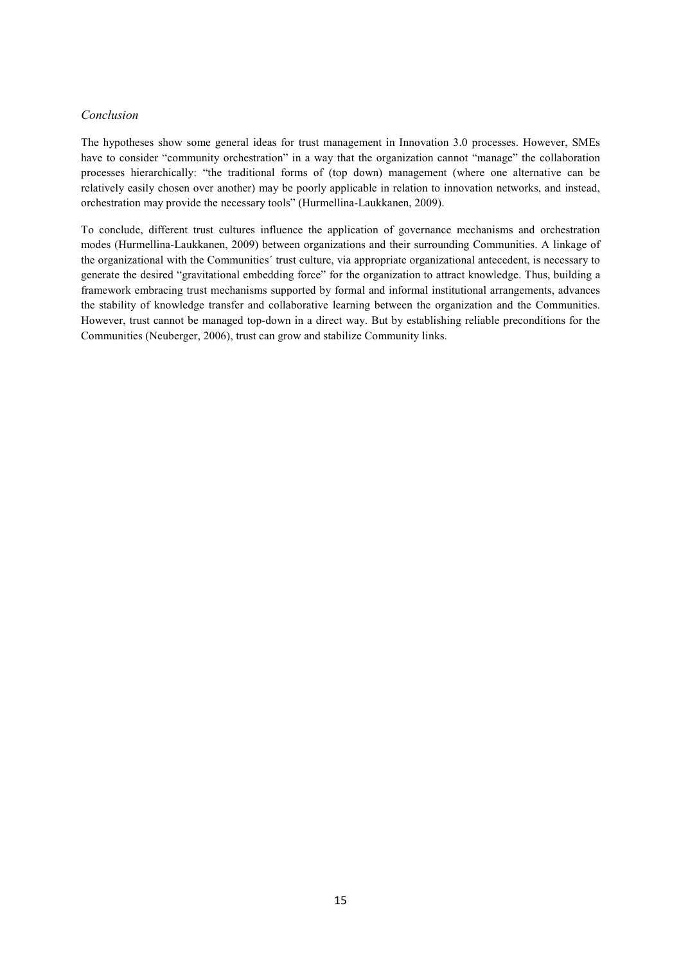#### *Conclusion*

The hypotheses show some general ideas for trust management in Innovation 3.0 processes. However, SMEs have to consider "community orchestration" in a way that the organization cannot "manage" the collaboration processes hierarchically: "the traditional forms of (top down) management (where one alternative can be relatively easily chosen over another) may be poorly applicable in relation to innovation networks, and instead, orchestration may provide the necessary tools" (Hurmellina-Laukkanen, 2009).

To conclude, different trust cultures influence the application of governance mechanisms and orchestration modes (Hurmellina-Laukkanen, 2009) between organizations and their surrounding Communities. A linkage of the organizational with the Communities´ trust culture, via appropriate organizational antecedent, is necessary to generate the desired "gravitational embedding force" for the organization to attract knowledge. Thus, building a framework embracing trust mechanisms supported by formal and informal institutional arrangements, advances the stability of knowledge transfer and collaborative learning between the organization and the Communities. However, trust cannot be managed top-down in a direct way. But by establishing reliable preconditions for the Communities (Neuberger, 2006), trust can grow and stabilize Community links.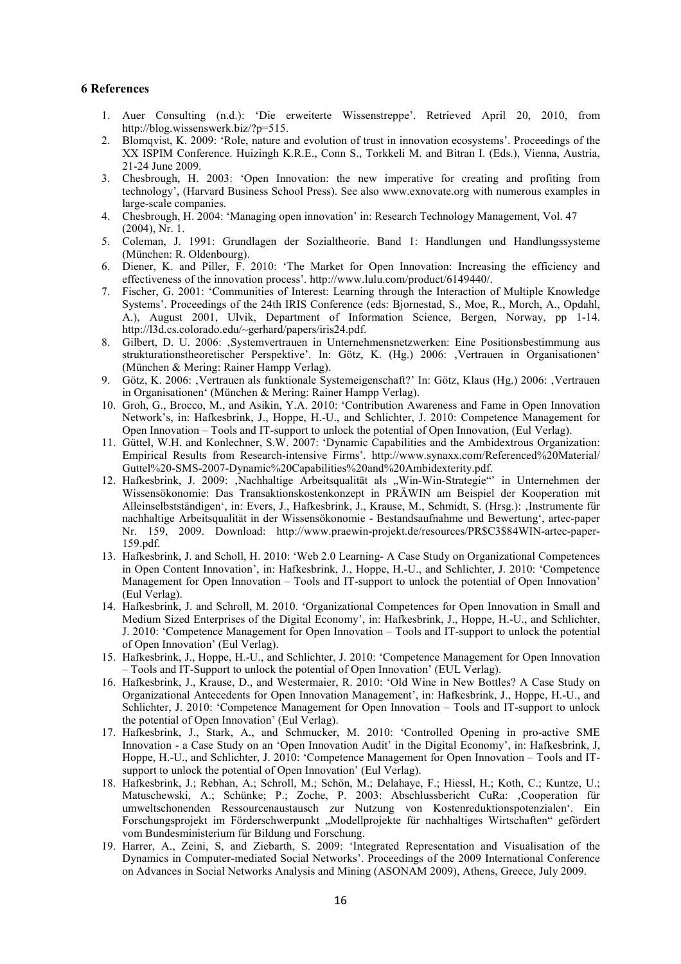#### **6 References**

- 1. Auer Consulting (n.d.): 'Die erweiterte Wissenstreppe'. Retrieved April 20, 2010, from http://blog.wissenswerk.biz/?p=515.
- 2. Blomqvist, K. 2009: 'Role, nature and evolution of trust in innovation ecosystems'. Proceedings of the XX ISPIM Conference. Huizingh K.R.E., Conn S., Torkkeli M. and Bitran I. (Eds.), Vienna, Austria, 21-24 June 2009.
- 3. Chesbrough, H. 2003: 'Open Innovation: the new imperative for creating and profiting from technology', (Harvard Business School Press). See also www.exnovate.org with numerous examples in large-scale companies.
- 4. Chesbrough, H. 2004: 'Managing open innovation' in: Research Technology Management, Vol. 47 (2004), Nr. 1.
- 5. Coleman, J. 1991: Grundlagen der Sozialtheorie. Band 1: Handlungen und Handlungssysteme (München: R. Oldenbourg).
- 6. Diener, K. and Piller, F. 2010: 'The Market for Open Innovation: Increasing the efficiency and effectiveness of the innovation process'. http://www.lulu.com/product/6149440/.
- 7. Fischer, G. 2001: 'Communities of Interest: Learning through the Interaction of Multiple Knowledge Systems'. Proceedings of the 24th IRIS Conference (eds: Bjornestad, S., Moe, R., Morch, A., Opdahl, A.), August 2001, Ulvik, Department of Information Science, Bergen, Norway, pp 1-14. http://l3d.cs.colorado.edu/~gerhard/papers/iris24.pdf.
- 8. Gilbert, D. U. 2006: 'Systemvertrauen in Unternehmensnetzwerken: Eine Positionsbestimmung aus strukturationstheoretischer Perspektive'. In: Götz, K. (Hg.) 2006: Vertrauen in Organisationen' (München & Mering: Rainer Hampp Verlag).
- 9. Götz, K. 2006: Vertrauen als funktionale Systemeigenschaft?' In: Götz, Klaus (Hg.) 2006: Vertrauen in Organisationen' (München & Mering: Rainer Hampp Verlag).
- 10. Groh, G., Brocco, M., and Asikin, Y.A. 2010: 'Contribution Awareness and Fame in Open Innovation Network's, in: Hafkesbrink, J., Hoppe, H.-U., and Schlichter, J. 2010: Competence Management for Open Innovation – Tools and IT-support to unlock the potential of Open Innovation, (Eul Verlag).
- 11. Güttel, W.H. and Konlechner, S.W. 2007: 'Dynamic Capabilities and the Ambidextrous Organization: Empirical Results from Research-intensive Firms'. http://www.synaxx.com/Referenced%20Material/ Guttel%20-SMS-2007-Dynamic%20Capabilities%20and%20Ambidexterity.pdf.
- 12. Hafkesbrink, J. 2009: Nachhaltige Arbeitsqualität als "Win-Win-Strategie" in Unternehmen der Wissensökonomie: Das Transaktionskostenkonzept in PRÄWIN am Beispiel der Kooperation mit Alleinselbstständigen', in: Evers, J., Hafkesbrink, J., Krause, M., Schmidt, S. (Hrsg.): 'Instrumente für nachhaltige Arbeitsqualität in der Wissensökonomie - Bestandsaufnahme und Bewertung', artec-paper Nr. 159, 2009. Download: http://www.praewin-projekt.de/resources/PR\$C3\$84WIN-artec-paper-159.pdf.
- 13. Hafkesbrink, J. and Scholl, H. 2010: 'Web 2.0 Learning- A Case Study on Organizational Competences in Open Content Innovation', in: Hafkesbrink, J., Hoppe, H.-U., and Schlichter, J. 2010: 'Competence Management for Open Innovation – Tools and IT-support to unlock the potential of Open Innovation' (Eul Verlag).
- 14. Hafkesbrink, J. and Schroll, M. 2010. 'Organizational Competences for Open Innovation in Small and Medium Sized Enterprises of the Digital Economy', in: Hafkesbrink, J., Hoppe, H.-U., and Schlichter, J. 2010: 'Competence Management for Open Innovation – Tools and IT-support to unlock the potential of Open Innovation' (Eul Verlag).
- 15. Hafkesbrink, J., Hoppe, H.-U., and Schlichter, J. 2010: 'Competence Management for Open Innovation – Tools and IT-Support to unlock the potential of Open Innovation' (EUL Verlag).
- 16. Hafkesbrink, J., Krause, D., and Westermaier, R. 2010: 'Old Wine in New Bottles? A Case Study on Organizational Antecedents for Open Innovation Management', in: Hafkesbrink, J., Hoppe, H.-U., and Schlichter, J. 2010: 'Competence Management for Open Innovation – Tools and IT-support to unlock the potential of Open Innovation' (Eul Verlag).
- 17. Hafkesbrink, J., Stark, A., and Schmucker, M. 2010: 'Controlled Opening in pro-active SME Innovation - a Case Study on an 'Open Innovation Audit' in the Digital Economy', in: Hafkesbrink, J, Hoppe, H.-U., and Schlichter, J. 2010: 'Competence Management for Open Innovation – Tools and ITsupport to unlock the potential of Open Innovation' (Eul Verlag).
- 18. Hafkesbrink, J.; Rebhan, A.; Schroll, M.; Schön, M.; Delahaye, F.; Hiessl, H.; Koth, C.; Kuntze, U.; Matuschewski, A.; Schünke; P.; Zoche, P. 2003: Abschlussbericht CuRa: 'Cooperation für umweltschonenden Ressourcenaustausch zur Nutzung von Kostenreduktionspotenzialen'. Ein Forschungsprojekt im Förderschwerpunkt "Modellprojekte für nachhaltiges Wirtschaften" gefördert vom Bundesministerium für Bildung und Forschung.
- 19. Harrer, A., Zeini, S, and Ziebarth, S. 2009: 'Integrated Representation and Visualisation of the Dynamics in Computer-mediated Social Networks'. Proceedings of the 2009 International Conference on Advances in Social Networks Analysis and Mining (ASONAM 2009), Athens, Greece, July 2009.